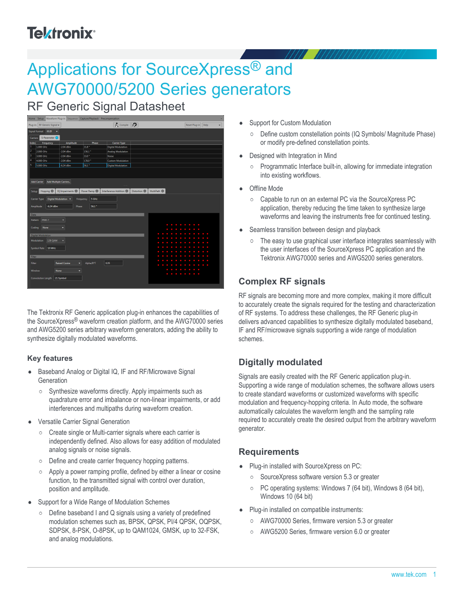# **Tektronix®**

# Applications for SourceXpress® and AWG70000/5200 Series generators RF Generic Signal Datasheet

| Home Setup Waveform Plug-in Sequence Capture/Playback Precompensation                                                          |                              |                      |                       |                             |  |                                                      |                                                                                |   |
|--------------------------------------------------------------------------------------------------------------------------------|------------------------------|----------------------|-----------------------|-----------------------------|--|------------------------------------------------------|--------------------------------------------------------------------------------|---|
|                                                                                                                                | Plug-in: RF Generic Signal w |                      |                       | <b>K</b> Compile $\sqrt{2}$ |  |                                                      | Reset Plug-in<br>Help                                                          | ٠ |
| Signal Format RF/IF<br>Ξ                                                                                                       |                              |                      |                       |                             |  |                                                      |                                                                                |   |
| S-Parameter<br><b>Carriers</b>                                                                                                 |                              |                      |                       |                             |  |                                                      |                                                                                |   |
| Index                                                                                                                          | Frequency                    | Amplitude            | Phase                 | <b>Carrier Type</b>         |  |                                                      |                                                                                |   |
| ī                                                                                                                              | 1.000 GHz                    | $-2.04$ dBm          | $31.8 -$              | <b>Digital Modulation</b>   |  |                                                      |                                                                                |   |
| $\overline{2}$                                                                                                                 | 2.000 GHz                    | $-2.04$ dBm          | 156.1 *               | <b>Analog Modulation</b>    |  |                                                      |                                                                                |   |
| B                                                                                                                              | 3.000 GHz                    | $-2.04$ dBm          | 33.0 *                | <b>Noise</b>                |  |                                                      |                                                                                |   |
| 4                                                                                                                              | 4.000 GHz                    | $-2.04$ dBm          | 178.0*                | <b>Custom Modulation</b>    |  |                                                      |                                                                                |   |
| 5                                                                                                                              | 5.000 GHz                    | $-6.24$ dBm          | $56.1$ $^{\circ}$     | <b>Digital Modulation</b>   |  |                                                      |                                                                                |   |
|                                                                                                                                |                              |                      |                       |                             |  |                                                      |                                                                                |   |
|                                                                                                                                |                              |                      |                       |                             |  |                                                      |                                                                                |   |
| Add Multiple Carriers<br><b>Add Carrier</b>                                                                                    |                              |                      |                       |                             |  |                                                      |                                                                                |   |
| $\cdots$                                                                                                                       |                              |                      |                       |                             |  |                                                      |                                                                                |   |
| Power Ramp<br>Interference Addition<br>MultiPath<br>IQ Impairments<br>Distortion <sup>1</sup><br>Hopping <sup>1</sup><br>Setup |                              |                      |                       |                             |  |                                                      |                                                                                |   |
|                                                                                                                                |                              |                      |                       |                             |  |                                                      |                                                                                |   |
| Digital Modulation v<br>5 GHz<br><b>Carrier Type</b><br>Frequency                                                              |                              |                      |                       |                             |  |                                                      |                                                                                |   |
|                                                                                                                                |                              |                      |                       |                             |  |                                                      |                                                                                |   |
| $-6.24$ dBm<br>$56.1 -$<br>Amplitude<br>Phase                                                                                  |                              |                      |                       |                             |  |                                                      |                                                                                |   |
| Data                                                                                                                           |                              |                      |                       |                             |  |                                                      |                                                                                |   |
| PRBS 7<br>Pattern<br>۰                                                                                                         |                              |                      |                       |                             |  |                                                      |                                                                                |   |
|                                                                                                                                |                              |                      |                       |                             |  |                                                      | <b>CONTRACTOR</b>                                                              |   |
|                                                                                                                                | None<br>Coding               | ۰                    |                       |                             |  | $\mathcal{L}$                                        |                                                                                |   |
|                                                                                                                                | <b>Digital Modulation</b>    |                      |                       |                             |  |                                                      |                                                                                |   |
|                                                                                                                                |                              |                      |                       |                             |  |                                                      |                                                                                |   |
| 128 QAM<br><b>Modulation</b><br>٠                                                                                              |                              |                      |                       |                             |  |                                                      |                                                                                |   |
|                                                                                                                                | 10 MHz<br><b>Symbol Rate</b> |                      |                       |                             |  |                                                      |                                                                                |   |
|                                                                                                                                |                              |                      |                       |                             |  |                                                      |                                                                                |   |
| Filter                                                                                                                         |                              |                      |                       |                             |  |                                                      |                                                                                |   |
|                                                                                                                                | Filter                       | <b>Raised Cosine</b> | Alpha/B <sup>*T</sup> | 0.35                        |  |                                                      |                                                                                |   |
|                                                                                                                                |                              |                      |                       |                             |  | $\bullet$<br>$\bullet$<br>$\mathcal{L}$<br>$\bullet$ | $\bullet$<br>$\bullet$<br>$\overline{\phantom{a}}$<br>$\overline{\phantom{a}}$ |   |
|                                                                                                                                | Window                       | <b>None</b><br>۰     |                       |                             |  | $\bullet$<br>$\bullet$<br>$\bullet$                  | o o<br>$\bullet$<br>$\bullet$<br>$\bullet$                                     |   |
|                                                                                                                                |                              |                      |                       |                             |  | $\overline{\phantom{a}}$                             | .                                                                              |   |
|                                                                                                                                | <b>Convolution Length</b>    | 21 Symbol            |                       |                             |  |                                                      |                                                                                |   |
|                                                                                                                                |                              |                      |                       |                             |  |                                                      |                                                                                |   |
|                                                                                                                                |                              |                      |                       |                             |  |                                                      |                                                                                |   |

The Tektronix RF Generic application plug-in enhances the capabilities of the SourceXpress® waveform creation platform, and the AWG70000 series and AWG5200 series arbitrary waveform generators, adding the ability to synthesize digitally modulated waveforms.

#### **Key features**

- Baseband Analog or Digital IQ, IF and RF/Microwave Signal **Generation** 
	- $\circ$  Synthesize waveforms directly. Apply impairments such as quadrature error and imbalance or non-linear impairments, or add interferences and multipaths during waveform creation.
- Versatile Carrier Signal Generation
	- Create single or Multi-carrier signals where each carrier is  $\circ$ independently defined. Also allows for easy addition of modulated analog signals or noise signals.
	- Define and create carrier frequency hopping patterns.
	- Apply a power ramping profile, defined by either a linear or cosine  $\circ$ function, to the transmitted signal with control over duration, position and amplitude.
- Support for a Wide Range of Modulation Schemes
	- Define baseband I and Q signals using a variety of predefined modulation schemes such as, BPSK, QPSK, PI/4 QPSK, OQPSK, SDPSK, 8-PSK, O-8PSK, up to QAM1024, GMSK, up to 32-FSK, and analog modulations.
- Support for Custom Modulation  $\bullet$ 
	- Define custom constellation points (IQ Symbols/ Magnitude Phase) or modify pre-defined constellation points.
- Designed with Integration in Mind
	- $\circ$ Programmatic Interface built-in, allowing for immediate integration into existing workflows.
- Offline Mode
	- Capable to run on an external PC via the SourceXpress PC application, thereby reducing the time taken to synthesize large waveforms and leaving the instruments free for continued testing.
- Seamless transition between design and playback
	- $\circ$  The easy to use graphical user interface integrates seamlessly with the user interfaces of the SourceXpress PC application and the Tektronix AWG70000 series and AWG5200 series generators.

# **Complex RF signals**

RF signals are becoming more and more complex, making it more difficult to accurately create the signals required for the testing and characterization of RF systems. To address these challenges, the RF Generic plug-in delivers advanced capabilities to synthesize digitally modulated baseband, IF and RF/microwave signals supporting a wide range of modulation schemes.

# **Digitally modulated**

Signals are easily created with the RF Generic application plug-in. Supporting a wide range of modulation schemes, the software allows users to create standard waveforms or customized waveforms with specific modulation and frequency-hopping criteria. In Auto mode, the software automatically calculates the waveform length and the sampling rate required to accurately create the desired output from the arbitrary waveform generator.

### **Requirements**

- Plug-in installed with SourceXpress on PC:
	- SourceXpress software version 5.3 or greater
	- $\circ$ PC operating systems: Windows 7 (64 bit), Windows 8 (64 bit), Windows 10 (64 bit)
- Plug-in installed on compatible instruments:
	- AWG70000 Series, firmware version 5.3 or greater
	- AWG5200 Series, firmware version 6.0 or greater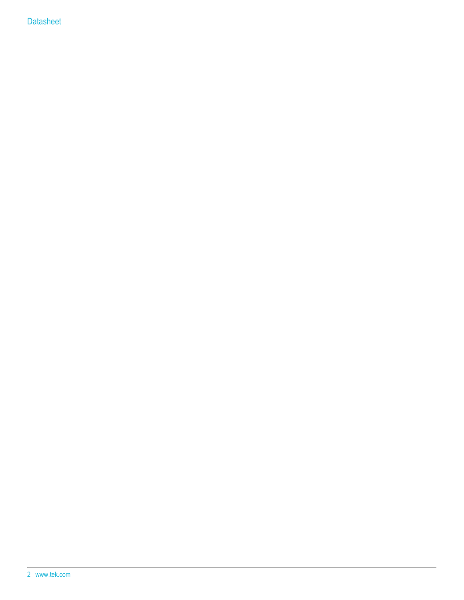**Datasheet**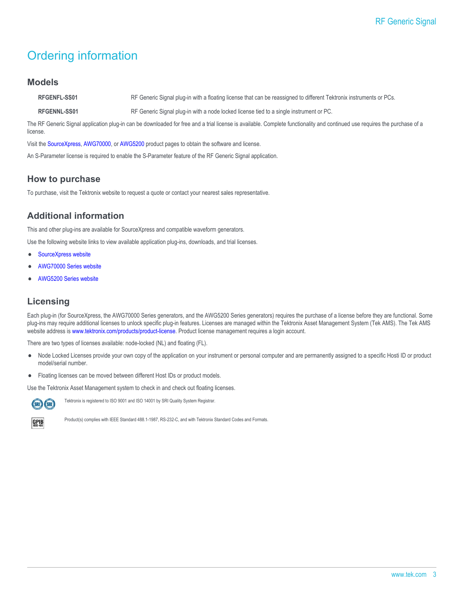# Ordering information

#### **Models**

**RFGENFL-SS01** RF Generic Signal plug-in with a floating license that can be reassigned to different Tektronix instruments or PCs.

**RFGENNL-SS01** RF Generic Signal plug-in with a node locked license tied to a single instrument or PC.

The RF Generic Signal application plug-in can be downloaded for free and a trial license is available. Complete functionality and continued use requires the purchase of a license.

Visit the [SourceXpress,](https://www.tek.com/sourcexpress) [AWG70000](https://www.tek.com/signal-generator/awg70000-arbitrary-waveform-generator), or [AWG5200](https://www.tek.com/arbitrary-waveform-generator/awg5200) product pages to obtain the software and license.

An S-Parameter license is required to enable the S-Parameter feature of the RF Generic Signal application.

### **How to purchase**

To purchase, visit the Tektronix website to request a quote or contact your nearest sales representative.

## **Additional information**

This and other plug-ins are available for SourceXpress and compatible waveform generators.

Use the following website links to view available application plug-ins, downloads, and trial licenses.

- [SourceXpress website](https://www.tek.com/sourcexpress)
- [AWG70000 Series website](https://www.tek.com/signal-generator/awg70000-arbitrary-waveform-generator)
- [AWG5200 Series website](https://www.tek.com/arbitrary-waveform-generator/awg5200)

## **Licensing**

Each plug-in (for SourceXpress, the AWG70000 Series generators, and the AWG5200 Series generators) requires the purchase of a license before they are functional. Some plug-ins may require additional licenses to unlock specific plug-in features. Licenses are managed within the Tektronix Asset Management System (Tek AMS). The Tek AMS website address is [www.tektronix.com/products/product-license.](https://www.tek.com/products/product-license) Product license management requires a login account.

There are two types of licenses available: node-locked (NL) and floating (FL).

- $\bullet$ Node Locked Licenses provide your own copy of the application on your instrument or personal computer and are permanently assigned to a specific Hosti ID or product model/serial number.
- Floating licenses can be moved between different Host IDs or product models.  $\bullet$

Use the Tektronix Asset Management system to check in and check out floating licenses.

Tektronix is registered to ISO 9001 and ISO 14001 by SRI Quality System Registrar.





Product(s) complies with IEEE Standard 488.1-1987, RS-232-C, and with Tektronix Standard Codes and Formats.